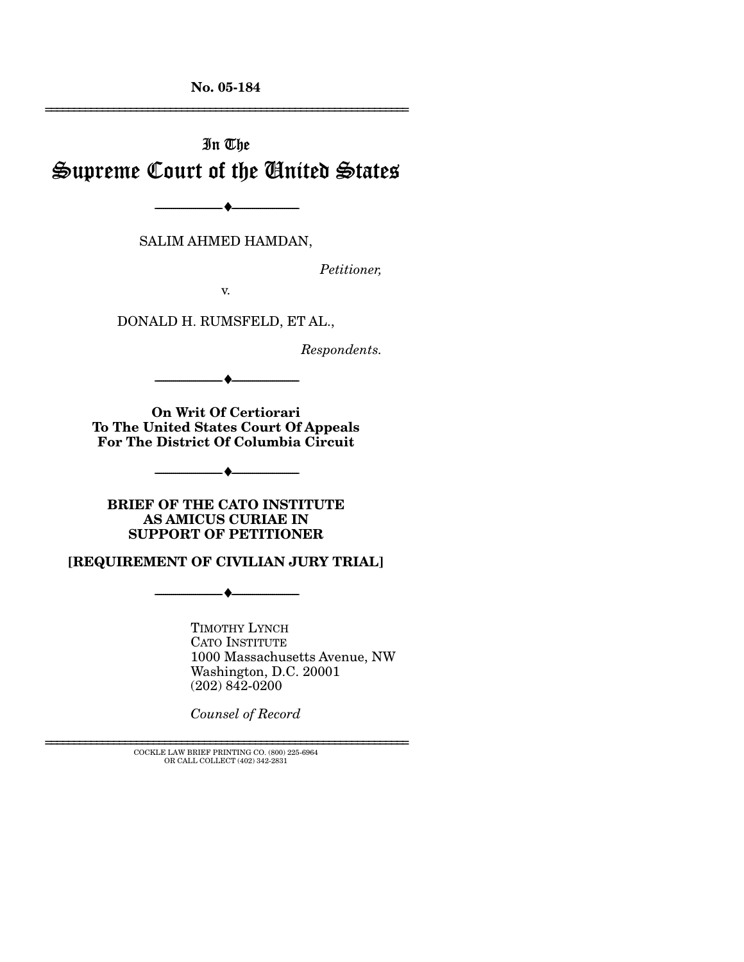**No. 05-184** 

# In The Supreme Court of the United States

SALIM AHMED HAMDAN,

 $\rightarrow$ 

*Petitioner,* 

================================================================

v.

DONALD H. RUMSFELD, ET AL.,

*Respondents.* 

**On Writ Of Certiorari To The United States Court Of Appeals For The District Of Columbia Circuit** 

 $\bullet$   $-$ 

--------------------------------- ♦ ---------------------------------

**BRIEF OF THE CATO INSTITUTE AS AMICUS CURIAE IN SUPPORT OF PETITIONER** 

#### **[REQUIREMENT OF CIVILIAN JURY TRIAL]**

--------------------------------- ♦ ---------------------------------

TIMOTHY LYNCH CATO INSTITUTE 1000 Massachusetts Avenue, NW Washington, D.C. 20001 (202) 842-0200

*Counsel of Record* 

================================================================ COCKLE LAW BRIEF PRINTING CO. (800) 225-6964 OR CALL COLLECT (402) 342-2831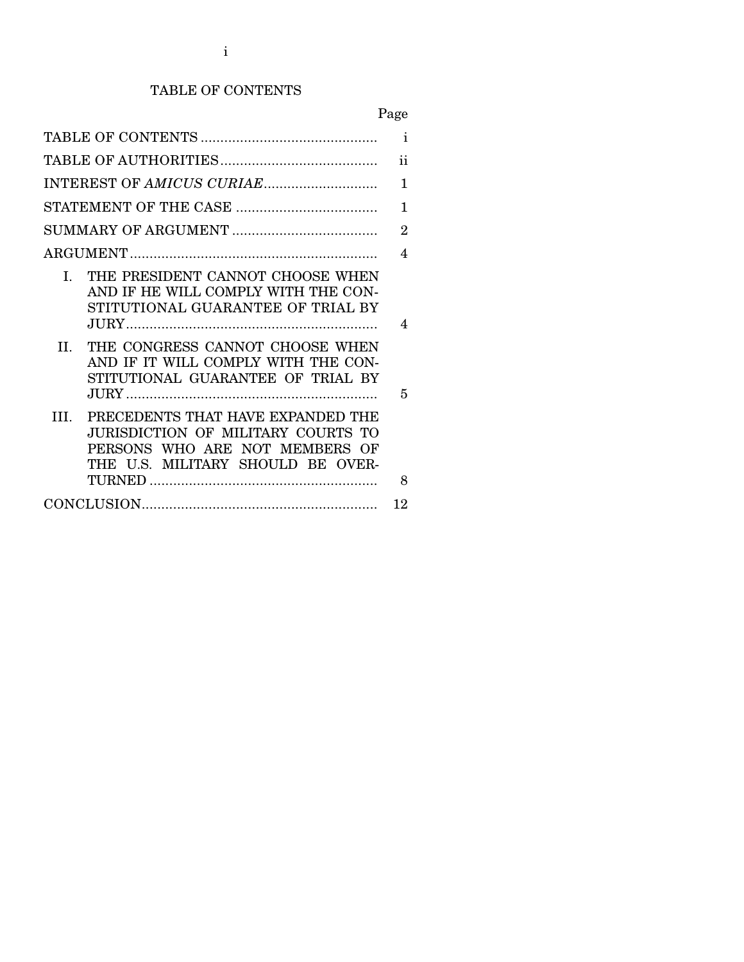## TABLE OF CONTENTS

Page

|                                                                                                                                                       | $\mathbf{i}$   |
|-------------------------------------------------------------------------------------------------------------------------------------------------------|----------------|
|                                                                                                                                                       | ii             |
|                                                                                                                                                       | 1              |
|                                                                                                                                                       | $\mathbf{1}$   |
|                                                                                                                                                       | $\overline{2}$ |
|                                                                                                                                                       | 4              |
| THE PRESIDENT CANNOT CHOOSE WHEN<br>$I_{\star}$<br>AND IF HE WILL COMPLY WITH THE CON-<br>STITUTIONAL GUARANTEE OF TRIAL BY                           | 4              |
| THE CONGRESS CANNOT CHOOSE WHEN<br>$H_{\odot}$<br>AND IF IT WILL COMPLY WITH THE CON-<br>STITUTIONAL GUARANTEE OF TRIAL BY                            | 5              |
| PRECEDENTS THAT HAVE EXPANDED THE<br>TH.<br>JURISDICTION OF MILITARY COURTS TO<br>PERSONS WHO ARE NOT MEMBERS OF<br>THE U.S. MILITARY SHOULD BE OVER- | 8              |
|                                                                                                                                                       | 12             |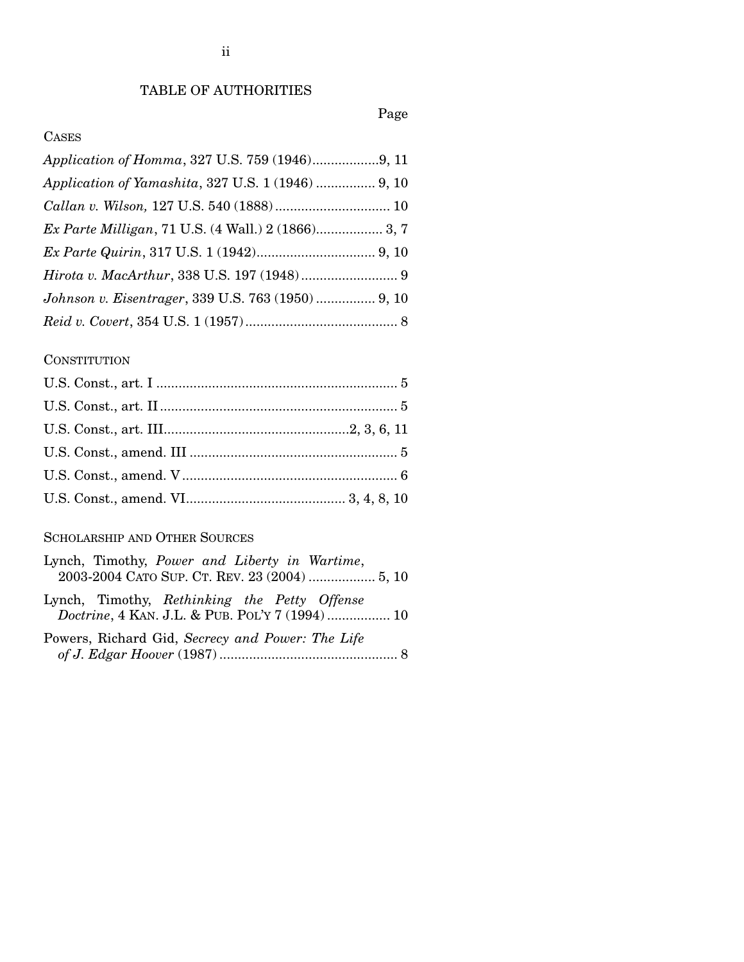## TABLE OF AUTHORITIES

## Page

## CASES

| Application of Yamashita, 327 U.S. 1 (1946)  9, 10 |  |
|----------------------------------------------------|--|
|                                                    |  |
| Ex Parte Milligan, 71 U.S. (4 Wall.) 2 (1866) 3, 7 |  |
|                                                    |  |
|                                                    |  |
| Johnson v. Eisentrager, 339 U.S. 763 (1950)  9, 10 |  |
|                                                    |  |

#### **CONSTITUTION**

## SCHOLARSHIP AND OTHER SOURCES

| Lynch, Timothy, Power and Liberty in Wartime,                                                   |
|-------------------------------------------------------------------------------------------------|
| 2003-2004 CATO SUP. CT. REV. 23 (2004)  5, 10                                                   |
| Lynch, Timothy, Rethinking the Petty Offense<br>Doctrine, 4 KAN. J.L. & PUB. POL'Y 7 (1994)  10 |
| Powers, Richard Gid, Secrecy and Power: The Life                                                |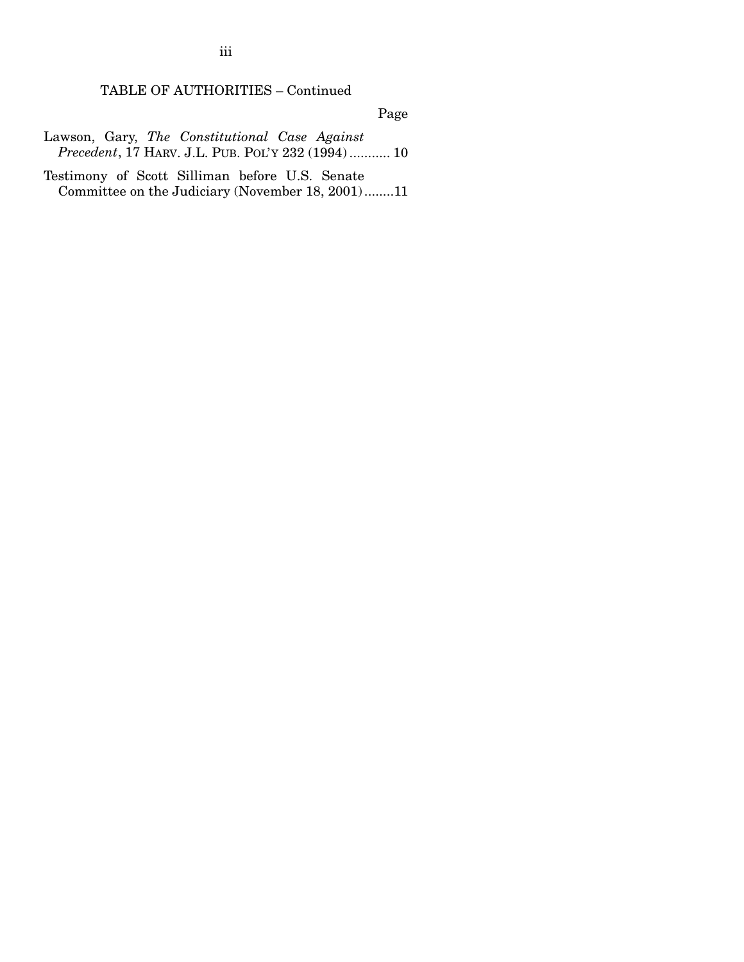TABLE OF AUTHORITIES – Continued

Page

Lawson, Gary, *The Constitutional Case Against Precedent*, 17 HARV. J.L. PUB. POL'Y 232 (1994) ........... 10

Testimony of Scott Silliman before U.S. Senate Committee on the Judiciary (November 18, 2001) ........11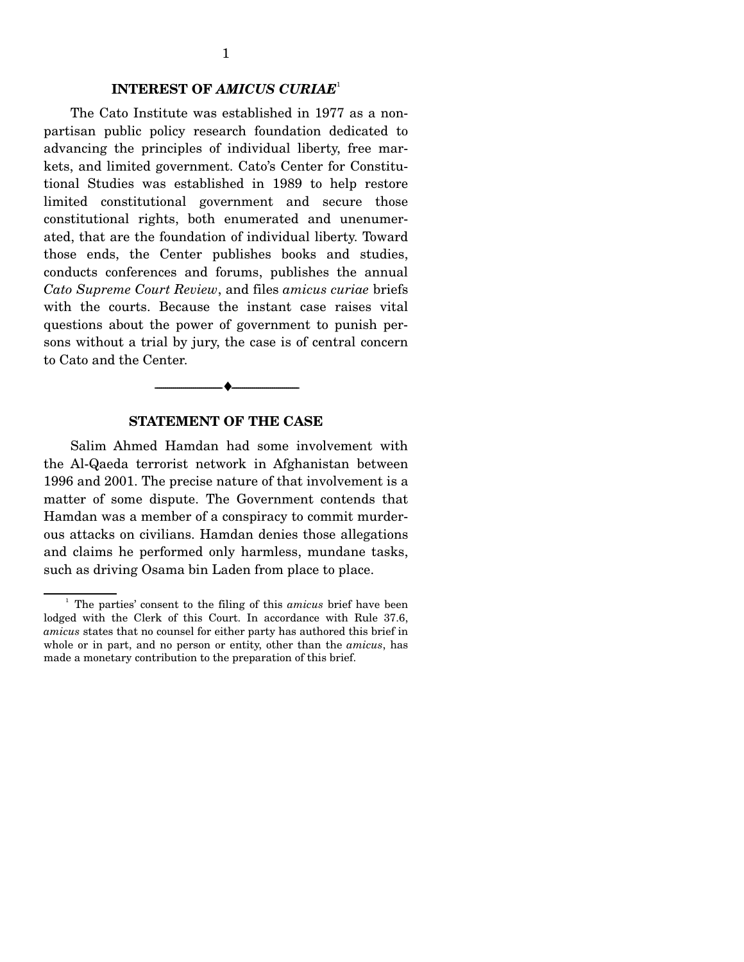#### **INTEREST OF** *AMICUS CURIAE*<sup>1</sup>

 The Cato Institute was established in 1977 as a nonpartisan public policy research foundation dedicated to advancing the principles of individual liberty, free markets, and limited government. Cato's Center for Constitutional Studies was established in 1989 to help restore limited constitutional government and secure those constitutional rights, both enumerated and unenumerated, that are the foundation of individual liberty. Toward those ends, the Center publishes books and studies, conducts conferences and forums, publishes the annual *Cato Supreme Court Review*, and files *amicus curiae* briefs with the courts. Because the instant case raises vital questions about the power of government to punish persons without a trial by jury, the case is of central concern to Cato and the Center.

#### **STATEMENT OF THE CASE**

--------------------------------- ♦ ---------------------------------

 Salim Ahmed Hamdan had some involvement with the Al-Qaeda terrorist network in Afghanistan between 1996 and 2001. The precise nature of that involvement is a matter of some dispute. The Government contends that Hamdan was a member of a conspiracy to commit murderous attacks on civilians. Hamdan denies those allegations and claims he performed only harmless, mundane tasks, such as driving Osama bin Laden from place to place.

<sup>&</sup>lt;sup>1</sup> The parties' consent to the filing of this *amicus* brief have been lodged with the Clerk of this Court. In accordance with Rule 37.6, *amicus* states that no counsel for either party has authored this brief in whole or in part, and no person or entity, other than the *amicus*, has made a monetary contribution to the preparation of this brief.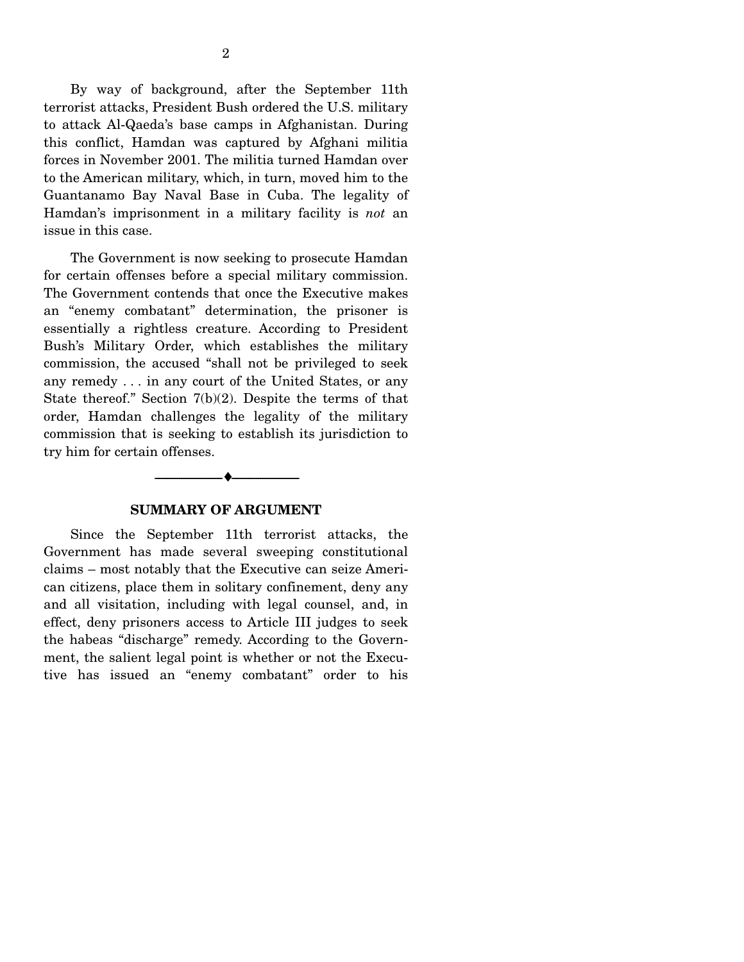By way of background, after the September 11th terrorist attacks, President Bush ordered the U.S. military to attack Al-Qaeda's base camps in Afghanistan. During this conflict, Hamdan was captured by Afghani militia forces in November 2001. The militia turned Hamdan over to the American military, which, in turn, moved him to the Guantanamo Bay Naval Base in Cuba. The legality of Hamdan's imprisonment in a military facility is *not* an issue in this case.

 The Government is now seeking to prosecute Hamdan for certain offenses before a special military commission. The Government contends that once the Executive makes an "enemy combatant" determination, the prisoner is essentially a rightless creature. According to President Bush's Military Order, which establishes the military commission, the accused "shall not be privileged to seek any remedy . . . in any court of the United States, or any State thereof." Section 7(b)(2). Despite the terms of that order, Hamdan challenges the legality of the military commission that is seeking to establish its jurisdiction to try him for certain offenses.



#### **SUMMARY OF ARGUMENT**

 Since the September 11th terrorist attacks, the Government has made several sweeping constitutional claims – most notably that the Executive can seize American citizens, place them in solitary confinement, deny any and all visitation, including with legal counsel, and, in effect, deny prisoners access to Article III judges to seek the habeas "discharge" remedy. According to the Government, the salient legal point is whether or not the Executive has issued an "enemy combatant" order to his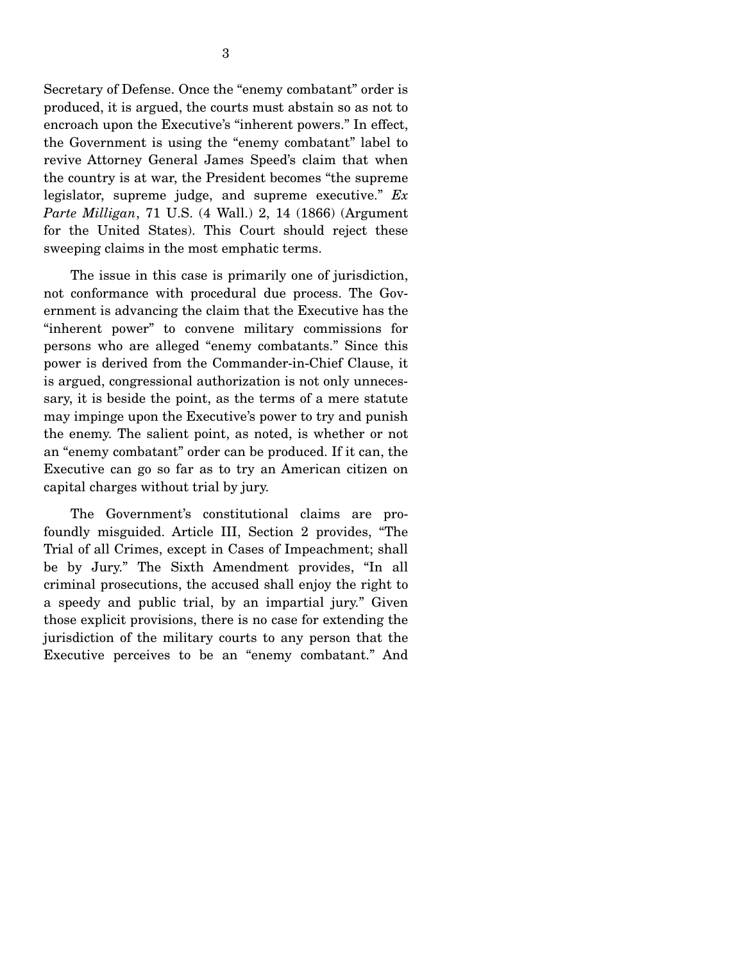Secretary of Defense. Once the "enemy combatant" order is produced, it is argued, the courts must abstain so as not to encroach upon the Executive's "inherent powers." In effect, the Government is using the "enemy combatant" label to revive Attorney General James Speed's claim that when the country is at war, the President becomes "the supreme legislator, supreme judge, and supreme executive." *Ex Parte Milligan*, 71 U.S. (4 Wall.) 2, 14 (1866) (Argument for the United States). This Court should reject these sweeping claims in the most emphatic terms.

 The issue in this case is primarily one of jurisdiction, not conformance with procedural due process. The Government is advancing the claim that the Executive has the "inherent power" to convene military commissions for persons who are alleged "enemy combatants." Since this power is derived from the Commander-in-Chief Clause, it is argued, congressional authorization is not only unnecessary, it is beside the point, as the terms of a mere statute may impinge upon the Executive's power to try and punish the enemy. The salient point, as noted, is whether or not an "enemy combatant" order can be produced. If it can, the Executive can go so far as to try an American citizen on capital charges without trial by jury.

 The Government's constitutional claims are profoundly misguided. Article III, Section 2 provides, "The Trial of all Crimes, except in Cases of Impeachment; shall be by Jury." The Sixth Amendment provides, "In all criminal prosecutions, the accused shall enjoy the right to a speedy and public trial, by an impartial jury." Given those explicit provisions, there is no case for extending the jurisdiction of the military courts to any person that the Executive perceives to be an "enemy combatant." And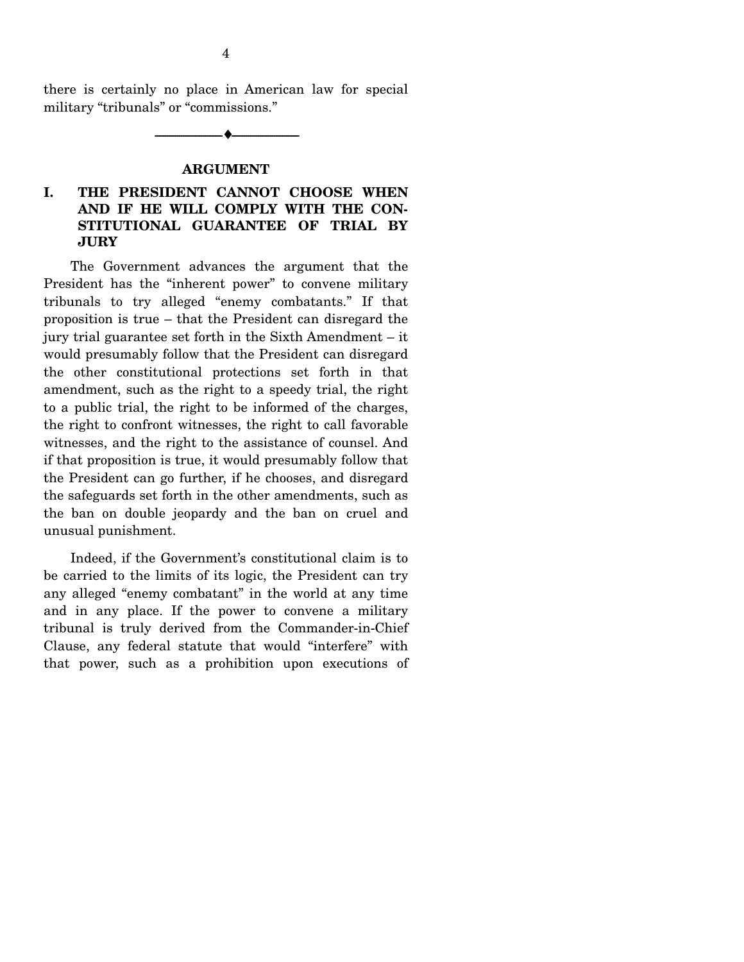there is certainly no place in American law for special military "tribunals" or "commissions."

--------------------------------- ♦ ---------------------------------

#### **ARGUMENT**

#### **I. THE PRESIDENT CANNOT CHOOSE WHEN AND IF HE WILL COMPLY WITH THE CON-STITUTIONAL GUARANTEE OF TRIAL BY JURY**

 The Government advances the argument that the President has the "inherent power" to convene military tribunals to try alleged "enemy combatants." If that proposition is true – that the President can disregard the jury trial guarantee set forth in the Sixth Amendment – it would presumably follow that the President can disregard the other constitutional protections set forth in that amendment, such as the right to a speedy trial, the right to a public trial, the right to be informed of the charges, the right to confront witnesses, the right to call favorable witnesses, and the right to the assistance of counsel. And if that proposition is true, it would presumably follow that the President can go further, if he chooses, and disregard the safeguards set forth in the other amendments, such as the ban on double jeopardy and the ban on cruel and unusual punishment.

 Indeed, if the Government's constitutional claim is to be carried to the limits of its logic, the President can try any alleged "enemy combatant" in the world at any time and in any place. If the power to convene a military tribunal is truly derived from the Commander-in-Chief Clause, any federal statute that would "interfere" with that power, such as a prohibition upon executions of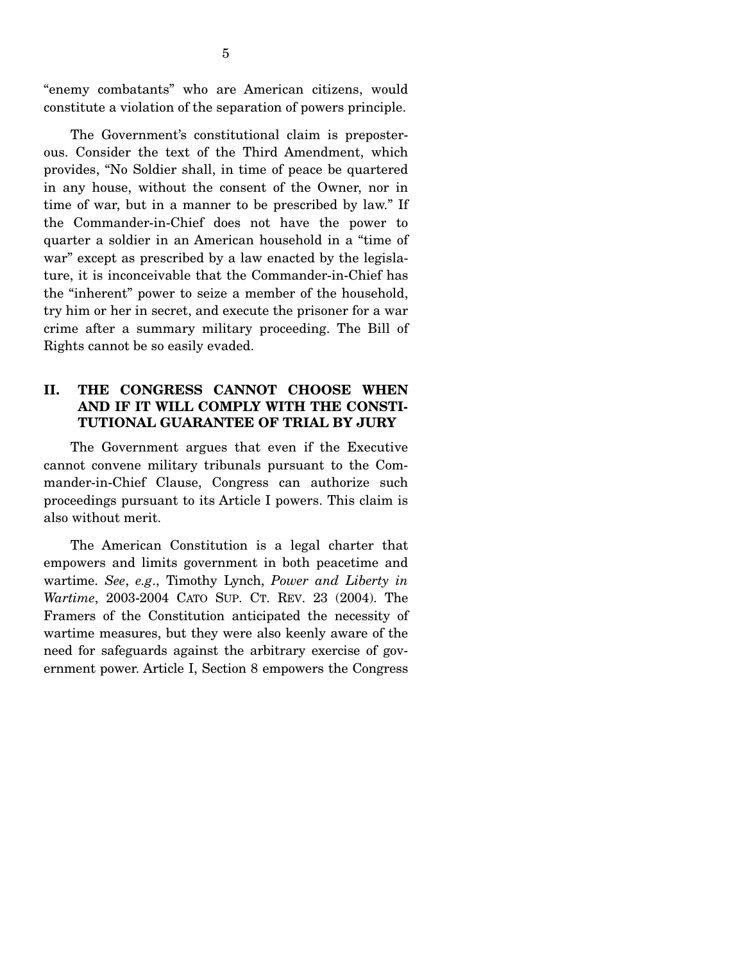"enemy combatants" who are American citizens, would constitute a violation of the separation of powers principle.

 The Government's constitutional claim is preposterous. Consider the text of the Third Amendment, which provides, "No Soldier shall, in time of peace be quartered in any house, without the consent of the Owner, nor in time of war, but in a manner to be prescribed by law." If the Commander-in-Chief does not have the power to quarter a soldier in an American household in a "time of war" except as prescribed by a law enacted by the legislature, it is inconceivable that the Commander-in-Chief has the "inherent" power to seize a member of the household, try him or her in secret, and execute the prisoner for a war crime after a summary military proceeding. The Bill of Rights cannot be so easily evaded.

### **II. THE CONGRESS CANNOT CHOOSE WHEN AND IF IT WILL COMPLY WITH THE CONSTI-TUTIONAL GUARANTEE OF TRIAL BY JURY**

 The Government argues that even if the Executive cannot convene military tribunals pursuant to the Commander-in-Chief Clause, Congress can authorize such proceedings pursuant to its Article I powers. This claim is also without merit.

 The American Constitution is a legal charter that empowers and limits government in both peacetime and wartime. *See*, *e.g*., Timothy Lynch, *Power and Liberty in Wartime*, 2003-2004 CATO SUP. CT. REV. 23 (2004). The Framers of the Constitution anticipated the necessity of wartime measures, but they were also keenly aware of the need for safeguards against the arbitrary exercise of government power. Article I, Section 8 empowers the Congress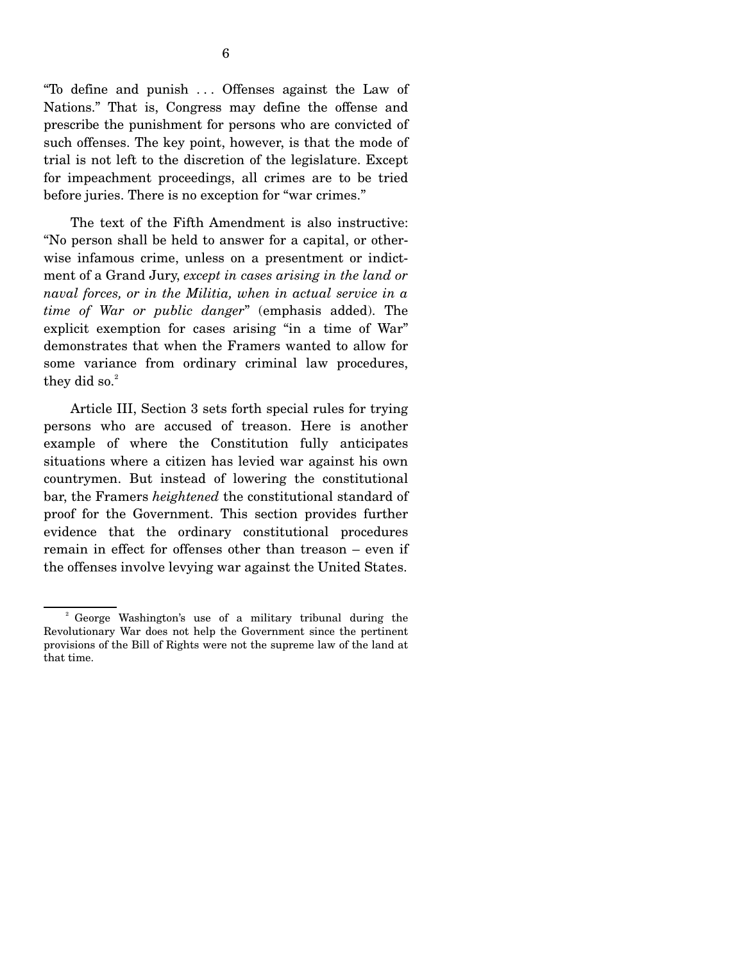"To define and punish . . . Offenses against the Law of Nations." That is, Congress may define the offense and prescribe the punishment for persons who are convicted of such offenses. The key point, however, is that the mode of trial is not left to the discretion of the legislature. Except for impeachment proceedings, all crimes are to be tried before juries. There is no exception for "war crimes."

 The text of the Fifth Amendment is also instructive: "No person shall be held to answer for a capital, or otherwise infamous crime, unless on a presentment or indictment of a Grand Jury, *except in cases arising in the land or naval forces, or in the Militia, when in actual service in a time of War or public danger*" (emphasis added). The explicit exemption for cases arising "in a time of War" demonstrates that when the Framers wanted to allow for some variance from ordinary criminal law procedures, they did so. $2$ 

 Article III, Section 3 sets forth special rules for trying persons who are accused of treason. Here is another example of where the Constitution fully anticipates situations where a citizen has levied war against his own countrymen. But instead of lowering the constitutional bar, the Framers *heightened* the constitutional standard of proof for the Government. This section provides further evidence that the ordinary constitutional procedures remain in effect for offenses other than treason – even if the offenses involve levying war against the United States.

<sup>&</sup>lt;sup>2</sup> George Washington's use of a military tribunal during the Revolutionary War does not help the Government since the pertinent provisions of the Bill of Rights were not the supreme law of the land at that time.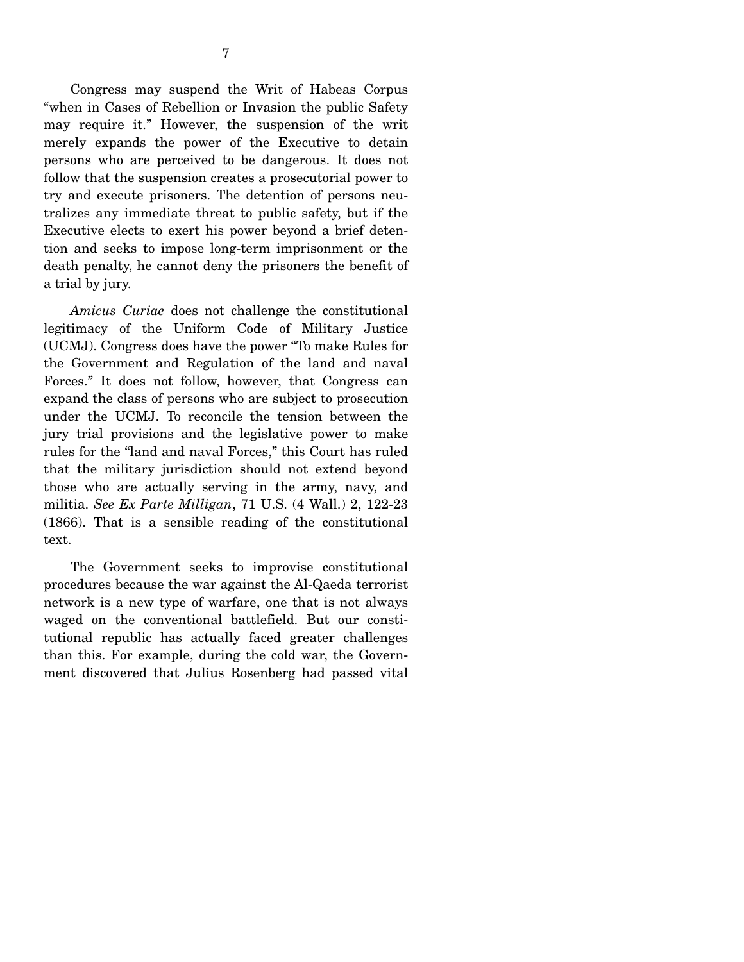Congress may suspend the Writ of Habeas Corpus "when in Cases of Rebellion or Invasion the public Safety may require it." However, the suspension of the writ merely expands the power of the Executive to detain persons who are perceived to be dangerous. It does not follow that the suspension creates a prosecutorial power to try and execute prisoners. The detention of persons neutralizes any immediate threat to public safety, but if the Executive elects to exert his power beyond a brief detention and seeks to impose long-term imprisonment or the death penalty, he cannot deny the prisoners the benefit of a trial by jury.

 *Amicus Curiae* does not challenge the constitutional legitimacy of the Uniform Code of Military Justice (UCMJ). Congress does have the power "To make Rules for the Government and Regulation of the land and naval Forces." It does not follow, however, that Congress can expand the class of persons who are subject to prosecution under the UCMJ. To reconcile the tension between the jury trial provisions and the legislative power to make rules for the "land and naval Forces," this Court has ruled that the military jurisdiction should not extend beyond those who are actually serving in the army, navy, and militia. *See Ex Parte Milligan*, 71 U.S. (4 Wall.) 2, 122-23 (1866). That is a sensible reading of the constitutional text.

 The Government seeks to improvise constitutional procedures because the war against the Al-Qaeda terrorist network is a new type of warfare, one that is not always waged on the conventional battlefield. But our constitutional republic has actually faced greater challenges than this. For example, during the cold war, the Government discovered that Julius Rosenberg had passed vital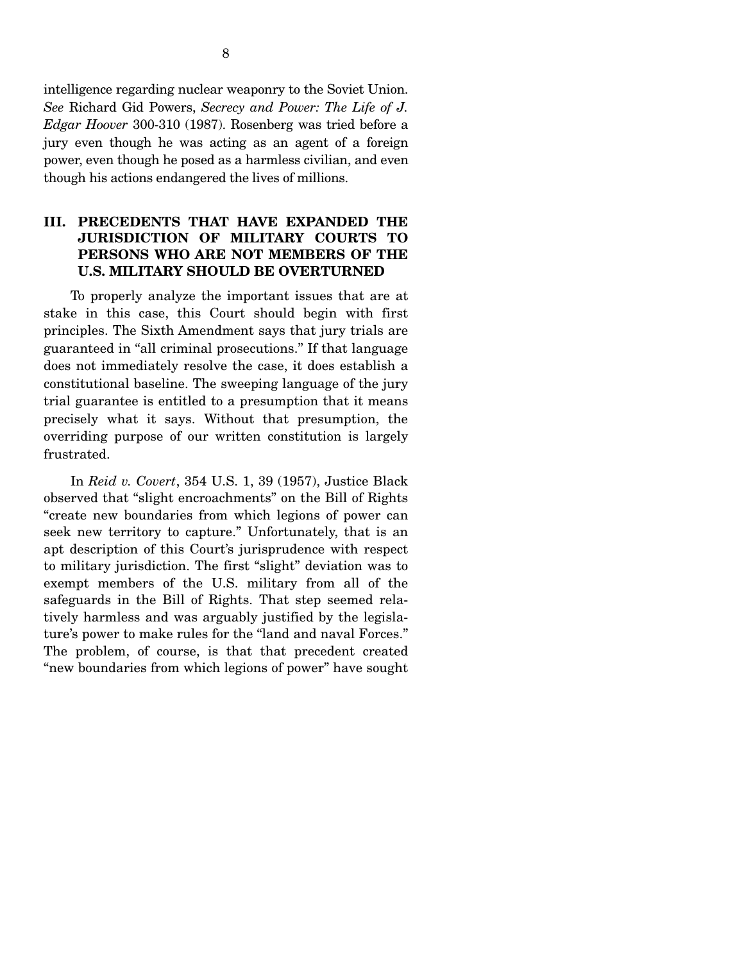intelligence regarding nuclear weaponry to the Soviet Union. *See* Richard Gid Powers, *Secrecy and Power: The Life of J. Edgar Hoover* 300-310 (1987). Rosenberg was tried before a jury even though he was acting as an agent of a foreign power, even though he posed as a harmless civilian, and even though his actions endangered the lives of millions.

### **III. PRECEDENTS THAT HAVE EXPANDED THE JURISDICTION OF MILITARY COURTS TO PERSONS WHO ARE NOT MEMBERS OF THE U.S. MILITARY SHOULD BE OVERTURNED**

 To properly analyze the important issues that are at stake in this case, this Court should begin with first principles. The Sixth Amendment says that jury trials are guaranteed in "all criminal prosecutions." If that language does not immediately resolve the case, it does establish a constitutional baseline. The sweeping language of the jury trial guarantee is entitled to a presumption that it means precisely what it says. Without that presumption, the overriding purpose of our written constitution is largely frustrated.

 In *Reid v. Covert*, 354 U.S. 1, 39 (1957), Justice Black observed that "slight encroachments" on the Bill of Rights "create new boundaries from which legions of power can seek new territory to capture." Unfortunately, that is an apt description of this Court's jurisprudence with respect to military jurisdiction. The first "slight" deviation was to exempt members of the U.S. military from all of the safeguards in the Bill of Rights. That step seemed relatively harmless and was arguably justified by the legislature's power to make rules for the "land and naval Forces." The problem, of course, is that that precedent created "new boundaries from which legions of power" have sought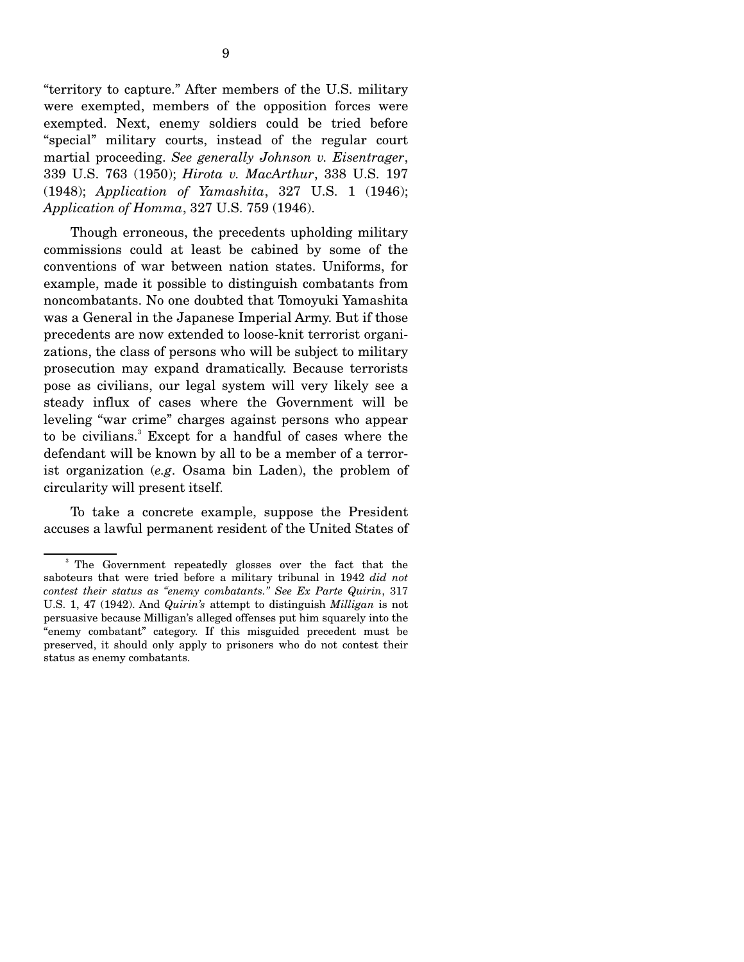"territory to capture." After members of the U.S. military were exempted, members of the opposition forces were exempted. Next, enemy soldiers could be tried before "special" military courts, instead of the regular court martial proceeding. *See generally Johnson v. Eisentrager*, 339 U.S. 763 (1950); *Hirota v. MacArthur*, 338 U.S. 197 (1948); *Application of Yamashita*, 327 U.S. 1 (1946); *Application of Homma*, 327 U.S. 759 (1946).

 Though erroneous, the precedents upholding military commissions could at least be cabined by some of the conventions of war between nation states. Uniforms, for example, made it possible to distinguish combatants from noncombatants. No one doubted that Tomoyuki Yamashita was a General in the Japanese Imperial Army. But if those precedents are now extended to loose-knit terrorist organizations, the class of persons who will be subject to military prosecution may expand dramatically. Because terrorists pose as civilians, our legal system will very likely see a steady influx of cases where the Government will be leveling "war crime" charges against persons who appear to be civilians.<sup>3</sup> Except for a handful of cases where the defendant will be known by all to be a member of a terrorist organization (*e.g*. Osama bin Laden), the problem of circularity will present itself.

 To take a concrete example, suppose the President accuses a lawful permanent resident of the United States of

<sup>&</sup>lt;sup>3</sup> The Government repeatedly glosses over the fact that the saboteurs that were tried before a military tribunal in 1942 *did not contest their status as "enemy combatants." See Ex Parte Quirin*, 317 U.S. 1, 47 (1942). And *Quirin's* attempt to distinguish *Milligan* is not persuasive because Milligan's alleged offenses put him squarely into the "enemy combatant" category. If this misguided precedent must be preserved, it should only apply to prisoners who do not contest their status as enemy combatants.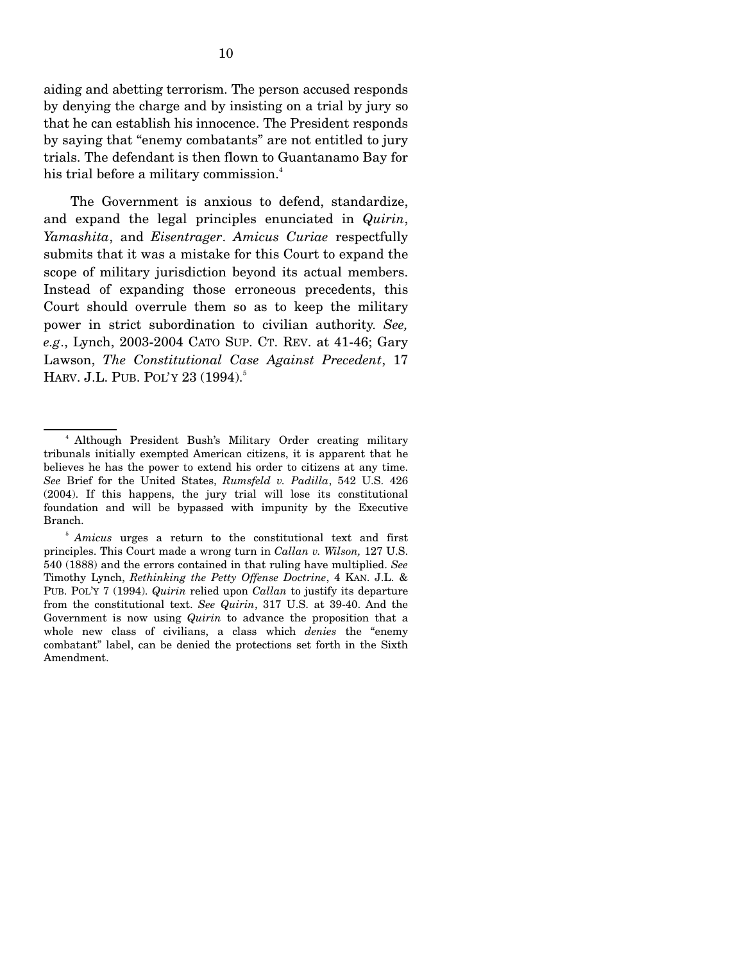aiding and abetting terrorism. The person accused responds by denying the charge and by insisting on a trial by jury so that he can establish his innocence. The President responds by saying that "enemy combatants" are not entitled to jury trials. The defendant is then flown to Guantanamo Bay for his trial before a military commission.<sup>4</sup>

 The Government is anxious to defend, standardize, and expand the legal principles enunciated in *Quirin*, *Yamashita*, and *Eisentrager*. *Amicus Curiae* respectfully submits that it was a mistake for this Court to expand the scope of military jurisdiction beyond its actual members. Instead of expanding those erroneous precedents, this Court should overrule them so as to keep the military power in strict subordination to civilian authority. *See, e.g*., Lynch, 2003-2004 CATO SUP. CT. REV. at 41-46; Gary Lawson, *The Constitutional Case Against Precedent*, 17 HARV. J.L. PUB. POL'Y 23 (1994).<sup>5</sup>

<sup>&</sup>lt;sup>4</sup> Although President Bush's Military Order creating military tribunals initially exempted American citizens, it is apparent that he believes he has the power to extend his order to citizens at any time. *See* Brief for the United States, *Rumsfeld v. Padilla*, 542 U.S. 426 (2004). If this happens, the jury trial will lose its constitutional foundation and will be bypassed with impunity by the Executive Branch.

<sup>&</sup>lt;sup>5</sup> Amicus urges a return to the constitutional text and first principles. This Court made a wrong turn in *Callan v. Wilson,* 127 U.S. 540 (1888) and the errors contained in that ruling have multiplied. *See* Timothy Lynch, *Rethinking the Petty Offense Doctrine*, 4 KAN. J.L. & PUB. POL'Y 7 (1994). *Quirin* relied upon *Callan* to justify its departure from the constitutional text. *See Quirin*, 317 U.S. at 39-40. And the Government is now using *Quirin* to advance the proposition that a whole new class of civilians, a class which *denies* the "enemy combatant" label, can be denied the protections set forth in the Sixth Amendment.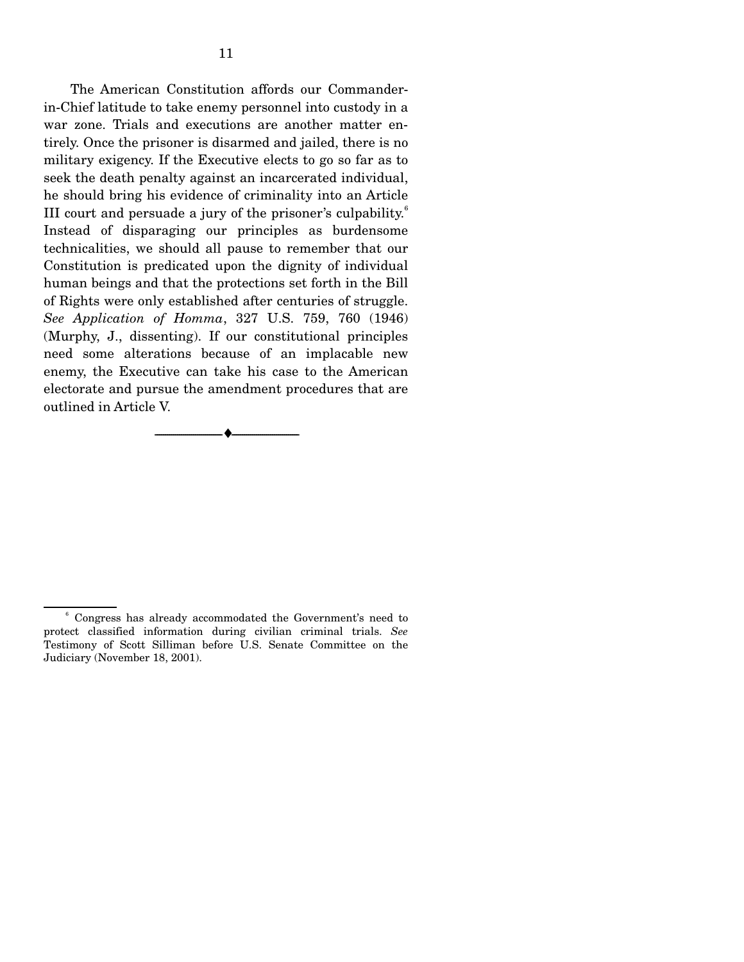The American Constitution affords our Commanderin-Chief latitude to take enemy personnel into custody in a war zone. Trials and executions are another matter entirely. Once the prisoner is disarmed and jailed, there is no military exigency. If the Executive elects to go so far as to seek the death penalty against an incarcerated individual, he should bring his evidence of criminality into an Article III court and persuade a jury of the prisoner's culpability. $<sup>6</sup>$ </sup> Instead of disparaging our principles as burdensome technicalities, we should all pause to remember that our Constitution is predicated upon the dignity of individual human beings and that the protections set forth in the Bill of Rights were only established after centuries of struggle. *See Application of Homma*, 327 U.S. 759, 760 (1946) (Murphy, J., dissenting). If our constitutional principles need some alterations because of an implacable new enemy, the Executive can take his case to the American electorate and pursue the amendment procedures that are outlined in Article V.

--------------------------------- ♦ ---------------------------------

<sup>6</sup> Congress has already accommodated the Government's need to protect classified information during civilian criminal trials. *See* Testimony of Scott Silliman before U.S. Senate Committee on the Judiciary (November 18, 2001).